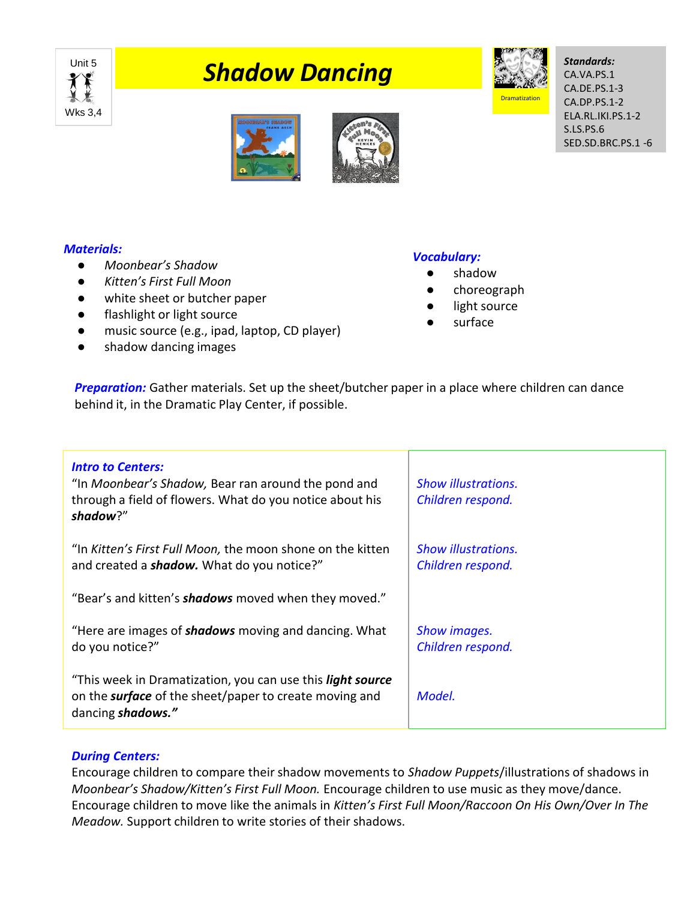

# *Philadow Dancing*



*Standards:* CA.VA.PS.1 CA.DE.PS.1-3 CA.DP.PS.1-2 ELA.RL.IKI.PS.1-2 S.LS.PS.6 SED.SD.BRC.PS.1 -6





#### *Materials:*

- *Moonbear's Shadow*
- *Kitten's First Full Moon*
- white sheet or butcher paper
- flashlight or light source
- music source (e.g., ipad, laptop, CD player)
- shadow dancing images

## *Vocabulary:*

- shadow
- choreograph
- light source
- surface

**Preparation:** Gather materials. Set up the sheet/butcher paper in a place where children can dance behind it, in the Dramatic Play Center, if possible.

| <b>Intro to Centers:</b><br>"In Moonbear's Shadow, Bear ran around the pond and<br>through a field of flowers. What do you notice about his<br>shadow?" | <b>Show illustrations.</b><br>Children respond. |
|---------------------------------------------------------------------------------------------------------------------------------------------------------|-------------------------------------------------|
| "In Kitten's First Full Moon, the moon shone on the kitten<br>and created a <b>shadow.</b> What do you notice?"                                         | <b>Show illustrations.</b><br>Children respond. |
| "Bear's and kitten's <b>shadows</b> moved when they moved."                                                                                             |                                                 |
| "Here are images of <b>shadows</b> moving and dancing. What<br>do you notice?"                                                                          | Show images.<br>Children respond.               |
| "This week in Dramatization, you can use this <i>light source</i><br>on the <b>surface</b> of the sheet/paper to create moving and<br>dancing shadows." | Model.                                          |

## *During Centers:*

Encourage children to compare their shadow movements to *Shadow Puppets*/illustrations of shadows in *Moonbear's Shadow/Kitten's First Full Moon.* Encourage children to use music as they move/dance. Encourage children to move like the animals in *Kitten's First Full Moon/Raccoon On His Own/Over In The Meadow.* Support children to write stories of their shadows.